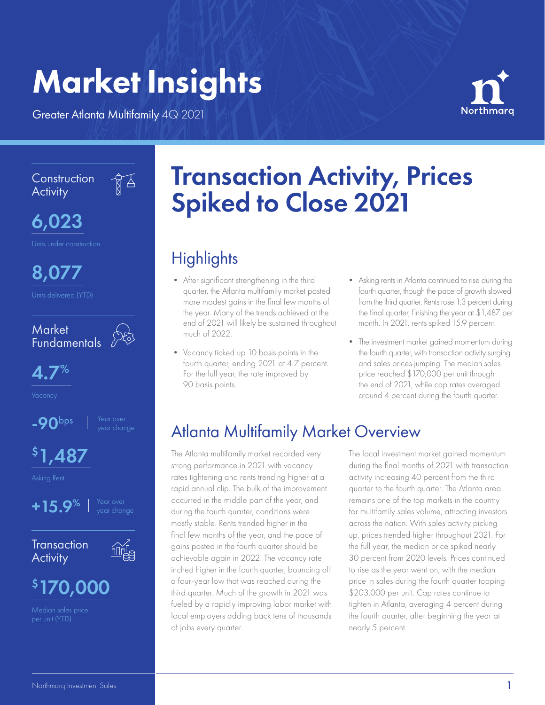# Market Insights

Greater Atlanta Multifamily 4Q 2021

 $\frac{1}{8}$ 



**Construction Activity** 



8,077





 $-90$ bps

\$ 1,487

Asking Rent



**Transaction Activity** 



## \$ 170,000

Median sales price

# Transaction Activity, Prices Spiked to Close 2021

## **Highlights**

- After significant strengthening in the third quarter, the Atlanta multifamily market posted more modest gains in the final few months of the year. Many of the trends achieved at the end of 2021 will likely be sustained throughout much of 2022.
- Vacancy ticked up 10 basis points in the fourth quarter, ending 2021 at 4.7 percent. For the full year, the rate improved by 90 basis points.
- Asking rents in Atlanta continued to rise during the fourth quarter, though the pace of growth slowed from the third quarter. Rents rose 1.3 percent during the final quarter, finishing the year at \$1,487 per month. In 2021, rents spiked 15.9 percent.
- The investment market gained momentum during the fourth quarter, with transaction activity surging and sales prices jumping. The median sales price reached \$170,000 per unit through the end of 2021, while cap rates averaged around 4 percent during the fourth quarter.

## Atlanta Multifamily Market Overview

The Atlanta multifamily market recorded very strong performance in 2021 with vacancy rates tightening and rents trending higher at a rapid annual clip. The bulk of the improvement occurred in the middle part of the year, and during the fourth quarter, conditions were mostly stable. Rents trended higher in the final few months of the year, and the pace of gains posted in the fourth quarter should be achievable again in 2022. The vacancy rate inched higher in the fourth quarter, bouncing off a four-year low that was reached during the third quarter. Much of the growth in 2021 was fueled by a rapidly improving labor market with local employers adding back tens of thousands of jobs every quarter.

The local investment market gained momentum during the final months of 2021 with transaction activity increasing 40 percent from the third quarter to the fourth quarter. The Atlanta area remains one of the top markets in the country for multifamily sales volume, attracting investors across the nation. With sales activity picking up, prices trended higher throughout 2021. For the full year, the median price spiked nearly 30 percent from 2020 levels. Prices continued to rise as the year went on, with the median price in sales during the fourth quarter topping \$203,000 per unit. Cap rates continue to tighten in Atlanta, averaging 4 percent during the fourth quarter, after beginning the year at nearly 5 percent.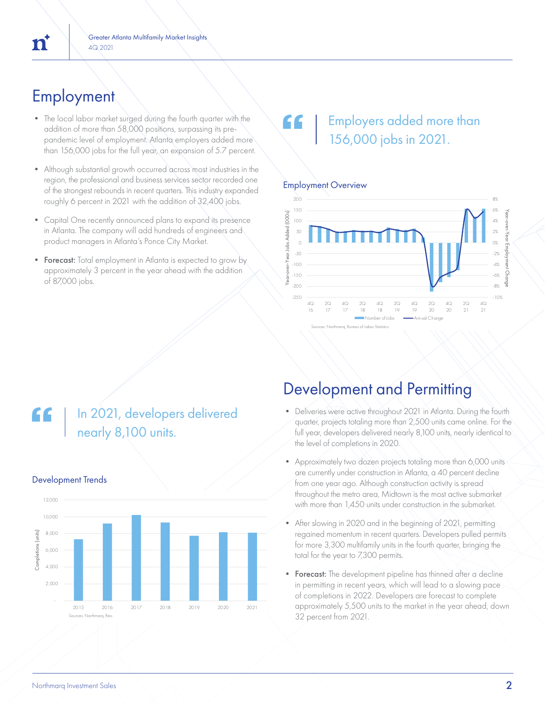## **Employment**

- The local labor market surged during the fourth quarter with the addition of more than 58,000 positions, surpassing its prepandemic level of employment. Atlanta employers added more than 156,000 jobs for the full year, an expansion of 5.7 percent.
- Although substantial growth occurred across most industries in the region, the professional and business services sector recorded one of the strongest rebounds in recent quarters. This industry expanded roughly 6 percent in 2021 with the addition of 32,400 jobs.
- Capital One recently announced plans to expand its presence in Atlanta. The company will add hundreds of engineers and product managers in Atlanta's Ponce City Market.
- Forecast: Total employment in Atlanta is expected to grow by approximately 3 percent in the year ahead with the addition of 87,000 jobs.

### Employers added more than 156,000 jobs in 2021.

### Employment Overview



### In 2021, developers delivered nearly 8,100 units.



### Development Trends

### Development and Permitting

- Deliveries were active throughout 2021 in Atlanta. During the fourth quarter, projects totaling more than 2,500 units came online. For the full year, developers delivered nearly 8,100 units, nearly identical to the level of completions in 2020.
- Approximately two dozen projects totaling more than 6,000 units are currently under construction in Atlanta, a 40 percent decline from one year ago. Although construction activity is spread throughout the metro area, Midtown is the most active submarket with more than 1,450 units under construction in the submarket.
- After slowing in 2020 and in the beginning of 2021, permitting regained momentum in recent quarters. Developers pulled permits for more 3,300 multifamily units in the fourth quarter, bringing the total for the year to 7,300 permits.
- Forecast: The development pipeline has thinned after a decline in permitting in recent years, which will lead to a slowing pace of completions in 2022. Developers are forecast to complete approximately 5,500 units to the market in the year ahead, down 32 percent from 2021.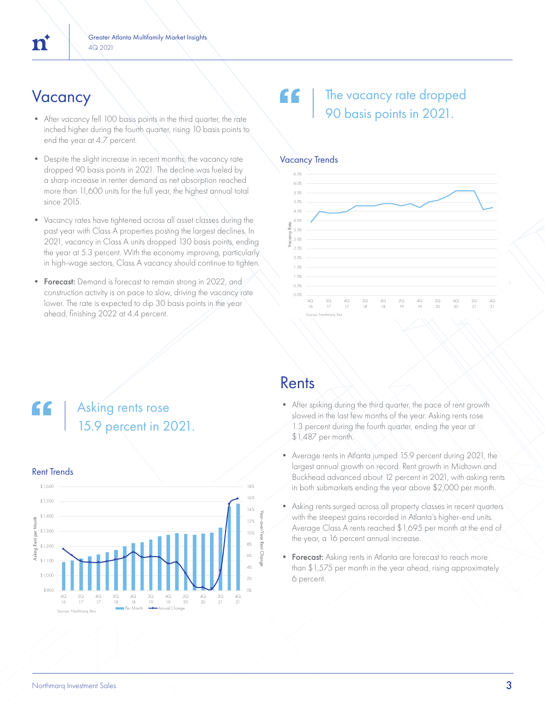- After vacancy fell 100 basis points in the third quarter, the rate inched higher during the fourth quarter, rising 10 basis points to end the year at 4.7 percent.
- Despite the slight increase in recent months, the vacancy rate dropped 90 basis points in 2021. The decline was fueled by a sharp increase in renter demand as net absorption reached more than 11,600 units for the full year, the highest annual total since 2015.
- Vacancy rates have tightened across all asset classes during the past year with Class A properties posting the largest declines. In 2021, vacancy in Class A units dropped 130 basis points, ending the year at 5.3 percent. With the economy improving, particularly in high-wage sectors, Class A vacancy should continue to tighten.
- Forecast: Demand is forecast to remain strong in 2022, and construction activity is on pace to slow, driving the vacancy rate lower. The rate is expected to dip 30 basis points in the year ahead, finishing 2022 at 4.4 percent.

### $V$ acancy  $\setminus$   $\setminus$   $\setminus$   $\setminus$   $\setminus$   $\setminus$   $\setminus$  The vacancy rate dropped 90 basis points in 2021.



### Asking rents rose 15.9 percent in 2021.



### Rents

- After spiking during the third quarter, the pace of rent growth slowed in the last few months of the year. Asking rents rose 1.3 percent during the fourth quarter, ending the year at \$1,487 per month.
- Average rents in Atlanta jumped 15.9 percent during 2021, the largest annual growth on record. Rent growth in Midtown and Buckhead advanced about 12 percent in 2021, with asking rents in both submarkets ending the year above \$2,000 per month.
- Asking rents surged across all property classes in recent quarters with the steepest gains recorded in Atlanta's higher-end units. Average Class A rents reached \$1,695 per month at the end of the year, a 16 percent annual increase.
- Forecast: Asking rents in Atlanta are forecast to reach more than \$1,575 per month in the year ahead, rising approximately 6 percent.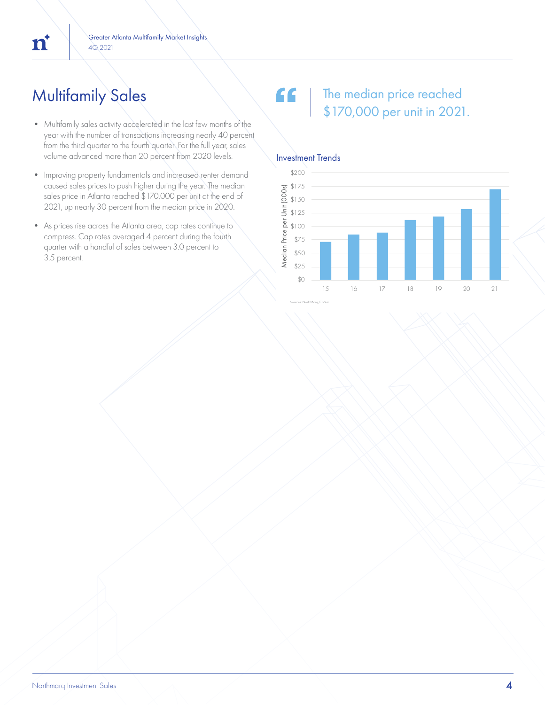## Multifamily Sales

 $\mathbf{n}^*$ 

- Multifamily sales activity accelerated in the last few months of the year with the number of transactions increasing nearly 40 percent from the third quarter to the fourth quarter. For the full year, sales volume advanced more than 20 percent from 2020 levels.
- Improving property fundamentals and increased renter demand caused sales prices to push higher during the year. The median sales price in Atlanta reached \$170,000 per unit at the end of 2021, up nearly 30 percent from the median price in 2020.
- As prices rise across the Atlanta area, cap rates continue to compress. Cap rates averaged 4 percent during the fourth quarter with a handful of sales between 3.0 percent to 3.5 percent.

### $66$ The median price reached \$170,000 per unit in 2021.



### Investment Trends

Sources: NorthMarq, CoStar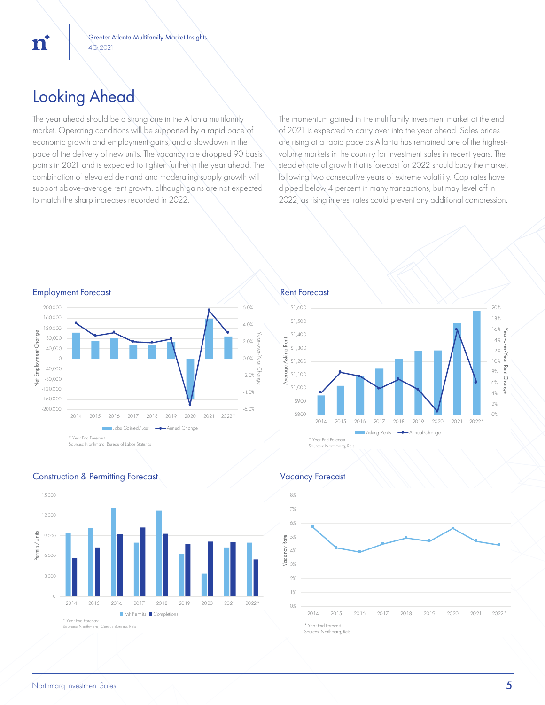### Looking Ahead

The year ahead should be a strong one in the Atlanta multifamily market. Operating conditions will be supported by a rapid pace of economic growth and employment gains, and a slowdown in the pace of the delivery of new units. The vacancy rate dropped 90 basis points in 2021 and is expected to tighten further in the year ahead. The combination of elevated demand and moderating supply growth will support above-average rent growth, although gains are not expected to match the sharp increases recorded in 2022.

The momentum gained in the multifamily investment market at the end of 2021 is expected to carry over into the year ahead. Sales prices are rising at a rapid pace as Atlanta has remained one of the highestvolume markets in the country for investment sales in recent years. The steadier rate of growth that is forecast for 2022 should buoy the market, following two consecutive years of extreme volatility. Cap rates have dipped below 4 percent in many transactions, but may level off in 2022, as rising interest rates could prevent any additional compression.











### Construction & Permitting Forecast Vacancy Forecast